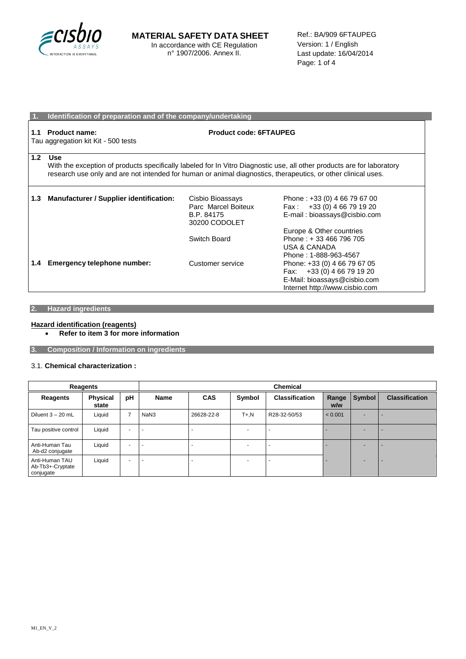

|     | Identification of preparation and of the company/undertaking                                                                                                                                                                                          |                                                                        |                                                                                                                              |  |  |
|-----|-------------------------------------------------------------------------------------------------------------------------------------------------------------------------------------------------------------------------------------------------------|------------------------------------------------------------------------|------------------------------------------------------------------------------------------------------------------------------|--|--|
| 1.1 | <b>Product code: 6FTAUPEG</b><br>Product name:<br>Tau aggregation kit Kit - 500 tests                                                                                                                                                                 |                                                                        |                                                                                                                              |  |  |
| 1.2 | <b>Use</b><br>With the exception of products specifically labeled for In Vitro Diagnostic use, all other products are for laboratory<br>research use only and are not intended for human or animal diagnostics, therapeutics, or other clinical uses. |                                                                        |                                                                                                                              |  |  |
| 1.3 | Manufacturer / Supplier identification:                                                                                                                                                                                                               | Cisbio Bioassays<br>Parc Marcel Boiteux<br>B.P. 84175<br>30200 CODOLET | Phone: +33 (0) 4 66 79 67 00<br>Fax: $+33(0)$ 4 66 79 19 20<br>E-mail: bioassays@cisbio.com                                  |  |  |
|     |                                                                                                                                                                                                                                                       | Switch Board                                                           | Europe & Other countries<br>Phone: +33 466 796 705<br>USA & CANADA<br>Phone: 1-888-963-4567                                  |  |  |
| 1.4 | Emergency telephone number:                                                                                                                                                                                                                           | Customer service                                                       | Phone: +33 (0) 4 66 79 67 05<br>Fax: +33 (0) 4 66 79 19 20<br>E-Mail: bioassays@cisbio.com<br>Internet http://www.cisbio.com |  |  |

# **2. Hazard ingredients**

# **Hazard identification (reagents)**

**Refer to item 3 for more information**

**3. Composition / Information on ingredients**

## 3.1. **Chemical characterization :**

| Reagents                                        |                          |                          | <b>Chemical</b> |            |                          |                          |              |        |                       |
|-------------------------------------------------|--------------------------|--------------------------|-----------------|------------|--------------------------|--------------------------|--------------|--------|-----------------------|
| Reagents                                        | <b>Physical</b><br>state | pH                       | <b>Name</b>     | <b>CAS</b> | Symbol                   | <b>Classification</b>    | Range<br>w/w | Symbol | <b>Classification</b> |
| Diluent $3 - 20$ mL                             | Liquid                   | ⇁                        | NaN3            | 26628-22-8 | $T + N$                  | R28-32-50/53             | < 0.001      |        |                       |
| Tau positive control                            | Liquid                   | $\overline{\phantom{a}}$ |                 |            |                          | $\overline{\phantom{0}}$ |              |        |                       |
| Anti-Human Tau<br>Ab-d2 conjugate               | Liquid                   | $\overline{\phantom{0}}$ |                 |            | $\overline{\phantom{0}}$ | $\overline{\phantom{0}}$ |              |        |                       |
| Anti-Human TAU<br>Ab-Tb3+-Cryptate<br>conjugate | Liquid                   | $\overline{\phantom{0}}$ |                 |            | $\overline{\phantom{0}}$ | $\overline{\phantom{0}}$ |              |        |                       |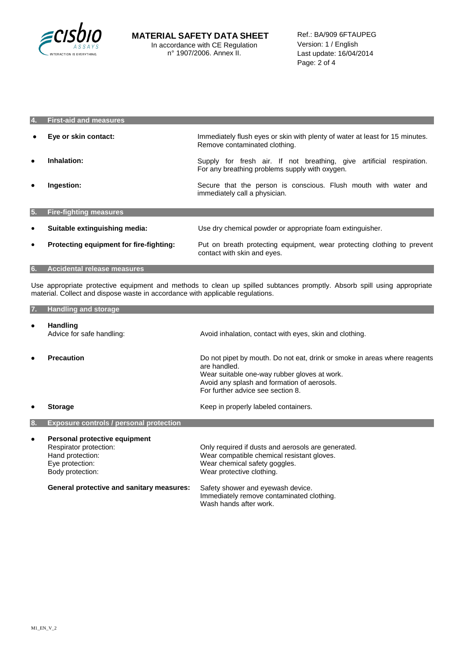

| 4.        | <b>First-aid and measures</b>           |                                                                                                                        |  |
|-----------|-----------------------------------------|------------------------------------------------------------------------------------------------------------------------|--|
| $\bullet$ | Eye or skin contact:                    | Immediately flush eyes or skin with plenty of water at least for 15 minutes.<br>Remove contaminated clothing.          |  |
| $\bullet$ | Inhalation:                             | Supply for fresh air. If not breathing, give artificial respiration.<br>For any breathing problems supply with oxygen. |  |
| ٠         | Ingestion:                              | Secure that the person is conscious. Flush mouth with water and<br>immediately call a physician.                       |  |
| 5.        | <b>Fire-fighting measures</b>           |                                                                                                                        |  |
| $\bullet$ | Suitable extinguishing media:           | Use dry chemical powder or appropriate foam extinguisher.                                                              |  |
| $\bullet$ | Protecting equipment for fire-fighting: | Put on breath protecting equipment, wear protecting clothing to prevent<br>contact with skin and eyes.                 |  |

### **6. Accidental release measures**

Use appropriate protective equipment and methods to clean up spilled subtances promptly. Absorb spill using appropriate material. Collect and dispose waste in accordance with applicable regulations.

| 7.        | <b>Handling and storage</b>                                                                                        |                                                                                                                                                                                                                               |
|-----------|--------------------------------------------------------------------------------------------------------------------|-------------------------------------------------------------------------------------------------------------------------------------------------------------------------------------------------------------------------------|
| $\bullet$ | <b>Handling</b><br>Advice for safe handling:                                                                       | Avoid inhalation, contact with eyes, skin and clothing.                                                                                                                                                                       |
| ٠         | <b>Precaution</b>                                                                                                  | Do not pipet by mouth. Do not eat, drink or smoke in areas where reagents<br>are handled.<br>Wear suitable one-way rubber gloves at work.<br>Avoid any splash and formation of aerosols.<br>For further advice see section 8. |
|           | <b>Storage</b>                                                                                                     | Keep in properly labeled containers.                                                                                                                                                                                          |
| 8.        | <b>Exposure controls / personal protection</b>                                                                     |                                                                                                                                                                                                                               |
| ٠         | Personal protective equipment<br>Respirator protection:<br>Hand protection:<br>Eye protection:<br>Body protection: | Only required if dusts and aerosols are generated.<br>Wear compatible chemical resistant gloves.<br>Wear chemical safety goggles.<br>Wear protective clothing.                                                                |
|           | General protective and sanitary measures:                                                                          | Safety shower and eyewash device.<br>Immediately remove contaminated clothing.<br>Wash hands after work.                                                                                                                      |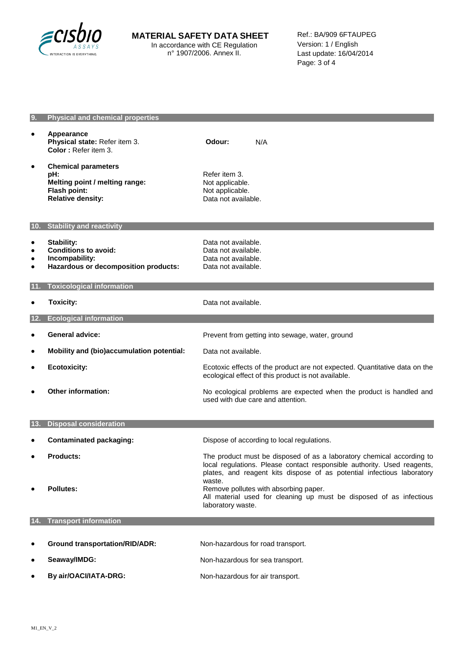

| 9.                                       | <b>Physical and chemical properties</b>                                                                         |                                                                                                                                                                                                                                      |
|------------------------------------------|-----------------------------------------------------------------------------------------------------------------|--------------------------------------------------------------------------------------------------------------------------------------------------------------------------------------------------------------------------------------|
| $\bullet$                                | Appearance<br>Physical state: Refer item 3.<br>Color: Refer item 3.                                             | Odour:<br>N/A                                                                                                                                                                                                                        |
| $\bullet$                                | <b>Chemical parameters</b><br>pH:<br>Melting point / melting range:<br>Flash point:<br><b>Relative density:</b> | Refer item 3.<br>Not applicable.<br>Not applicable.<br>Data not available.                                                                                                                                                           |
|                                          | 10. Stability and reactivity                                                                                    |                                                                                                                                                                                                                                      |
| $\bullet$<br>$\bullet$<br>٠<br>$\bullet$ | <b>Stability:</b><br><b>Conditions to avoid:</b><br>Incompability:<br>Hazardous or decomposition products:      | Data not available.<br>Data not available.<br>Data not available.<br>Data not available.                                                                                                                                             |
| 11.                                      | <b>Toxicological information</b>                                                                                |                                                                                                                                                                                                                                      |
| $\bullet$                                | <b>Toxicity:</b>                                                                                                | Data not available.                                                                                                                                                                                                                  |
| 12.                                      | <b>Ecological information</b>                                                                                   |                                                                                                                                                                                                                                      |
| $\bullet$                                | <b>General advice:</b>                                                                                          | Prevent from getting into sewage, water, ground                                                                                                                                                                                      |
| ٠                                        | Mobility and (bio)accumulation potential:                                                                       | Data not available.                                                                                                                                                                                                                  |
| ٠                                        | <b>Ecotoxicity:</b>                                                                                             | Ecotoxic effects of the product are not expected. Quantitative data on the<br>ecological effect of this product is not available.                                                                                                    |
| $\bullet$                                | <b>Other information:</b>                                                                                       | No ecological problems are expected when the product is handled and<br>used with due care and attention.                                                                                                                             |
| 13.                                      | <b>Disposal consideration</b>                                                                                   |                                                                                                                                                                                                                                      |
|                                          | <b>Contaminated packaging:</b>                                                                                  | Dispose of according to local regulations.                                                                                                                                                                                           |
| ٠                                        | <b>Products:</b>                                                                                                | The product must be disposed of as a laboratory chemical according to<br>local regulations. Please contact responsible authority. Used reagents,<br>plates, and reagent kits dispose of as potential infectious laboratory<br>waste. |
|                                          | <b>Pollutes:</b>                                                                                                | Remove pollutes with absorbing paper.<br>All material used for cleaning up must be disposed of as infectious<br>laboratory waste.                                                                                                    |
|                                          | 14. Transport information                                                                                       |                                                                                                                                                                                                                                      |
|                                          |                                                                                                                 |                                                                                                                                                                                                                                      |
| ٠                                        | <b>Ground transportation/RID/ADR:</b>                                                                           | Non-hazardous for road transport.                                                                                                                                                                                                    |
| ٠                                        | Seaway/IMDG:                                                                                                    | Non-hazardous for sea transport.                                                                                                                                                                                                     |
|                                          | By air/OACI/IATA-DRG:                                                                                           | Non-hazardous for air transport.                                                                                                                                                                                                     |